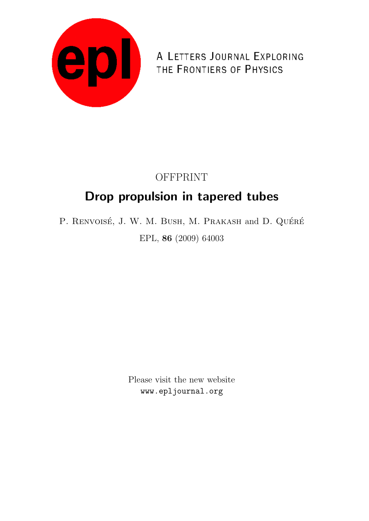

A LETTERS JOURNAL EXPLORING THE FRONTIERS OF PHYSICS

## OFFPRINT

# Drop propulsion in tapered tubes

P. RENVOISÉ, J. W. M. BUSH, M. PRAKASH and D. QUÉRÉ EPL, 86 (2009) 64003

> Please visit the new website www.epljournal.org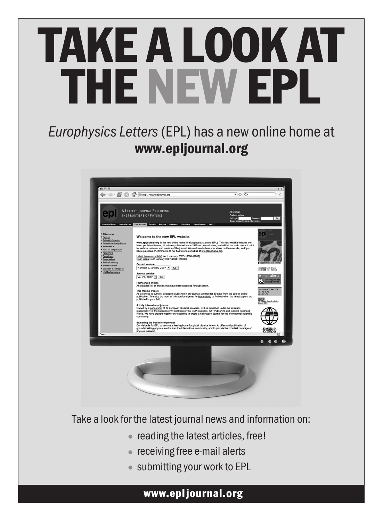# TAKE A LOOK AT THE NEW EPL

# *Europhysics Letters* (EPL) has a new online home at www.epljournal.org



Take a look for the latest journal news and information on:

- reading the latest articles, free!
- receiving free e-mail alerts
- submitting your work to EPL

## www.epljournal.org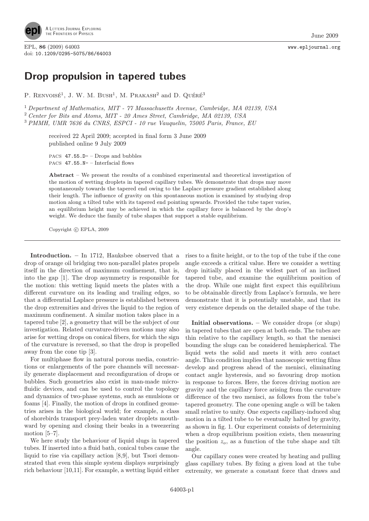

EPL, 86 (2009) 64003 www.epljournal.org doi: 10.1209/0295-5075/86/64003

### Drop propulsion in tapered tubes

P. RENVOISÉ<sup>1</sup>, J. W. M. BUSH<sup>1</sup>, M. PRAKASH<sup>2</sup> and D. QUÉRÉ<sup>3</sup>

<sup>1</sup> Department of Mathematics, MIT - 77 Massachusetts Avenue, Cambridge, MA 02139, USA

<sup>2</sup> Center for Bits and Atoms, MIT - 20 Ames Street, Cambridge, MA 02139, USA

<sup>3</sup> PMMH, UMR 7636 du CNRS, ESPCI - 10 rue Vauquelin, 75005 Paris, France, EU

received 22 April 2009; accepted in final form 3 June 2009 published online 9 July 2009

PACS  $47.55.D$ - Drops and bubbles PACS 47.55.N- – Interfacial flows

Abstract – We present the results of a combined experimental and theoretical investigation of the motion of wetting droplets in tapered capillary tubes. We demonstrate that drops may move spontaneously towards the tapered end owing to the Laplace pressure gradient established along their length. The influence of gravity on this spontaneous motion is examined by studying drop motion along a tilted tube with its tapered end pointing upwards. Provided the tube taper varies, an equilibrium height may be achieved in which the capillary force is balanced by the drop's weight. We deduce the family of tube shapes that support a stable equilibrium.

Copyright  $\odot$  EPLA, 2009

Introduction. – In 1712, Hauksbee observed that a drop of orange oil bridging two non-parallel plates propels itself in the direction of maximum confinement, that is, into the gap [1]. The drop asymmetry is responsible for the motion: this wetting liquid meets the plates with a different curvature on its leading and trailing edges, so that a differential Laplace pressure is established between the drop extremities and drives the liquid to the region of maximum confinement. A similar motion takes place in a tapered tube [2], a geometry that will be the subject of our investigation. Related curvature-driven motions may also arise for wetting drops on conical fibers, for which the sign of the curvature is reversed, so that the drop is propelled away from the cone tip [3].

For multiphase flow in natural porous media, constrictions or enlargements of the pore channels will necessarily generate displacement and reconfiguration of drops or bubbles. Such geometries also exist in man-made microfluidic devices, and can be used to control the topology and dynamics of two-phase systems, such as emulsions or foams [4]. Finally, the motion of drops in confined geometries arises in the biological world; for example, a class of shorebirds transport prey-laden water droplets mouthward by opening and closing their beaks in a tweezering motion [5–7].

We here study the behaviour of liquid slugs in tapered tubes. If inserted into a fluid bath, conical tubes cause the liquid to rise via capillary action [8,9], but Tsori demonstrated that even this simple system displays surprisingly rich behaviour [10,11]. For example, a wetting liquid either rises to a finite height, or to the top of the tube if the cone angle exceeds a critical value. Here we consider a wetting drop initially placed in the widest part of an inclined tapered tube, and examine the equilibrium position of the drop. While one might first expect this equilibrium to be obtainable directly from Laplace's formula, we here demonstrate that it is potentially unstable, and that its very existence depends on the detailed shape of the tube.

Initial observations. – We consider drops (or slugs) in tapered tubes that are open at both ends. The tubes are thin relative to the capillary length, so that the menisci bounding the slugs can be considered hemispherical. The liquid wets the solid and meets it with zero contact angle. This condition implies that nanoscopic wetting films develop and progress ahead of the menisci, eliminating contact angle hysteresis, and so favouring drop motion in response to forces. Here, the forces driving motion are gravity and the capillary force arising from the curvature difference of the two menisci, as follows from the tube's tapered geometry. The cone opening angle  $\alpha$  will be taken small relative to unity. One expects capillary-induced slug motion in a tilted tube to be eventually halted by gravity, as shown in fig. 1. Our experiment consists of determining when a drop equilibrium position exists, then measuring the position  $z<sub>o</sub>$ , as a function of the tube shape and tilt angle.

Our capillary cones were created by heating and pulling glass capillary tubes. By fixing a given load at the tube extremity, we generate a constant force that draws and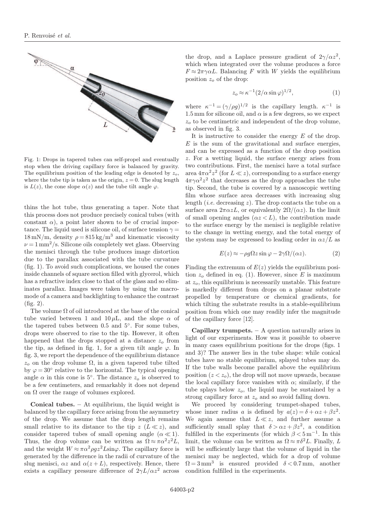

Fig. 1: Drops in tapered tubes can self-propel and eventually stop when the driving capillary force is balanced by gravity. The equilibrium position of the leading edge is denoted by  $z_o$ , where the tube tip is taken as the origin,  $z = 0$ . The slug length is  $L(z)$ , the cone slope  $\alpha(z)$  and the tube tilt angle  $\varphi$ .

thins the hot tube, thus generating a taper. Note that this process does not produce precisely conical tubes (with constant  $\alpha$ ), a point later shown to be of crucial importance. The liquid used is silicone oil, of surface tension  $\gamma =$  $18 \text{ mN/m}$ , density  $\rho = 815 \text{ kg/m}^3$  and kinematic viscosity  $\nu = 1 \text{ mm}^2/\text{s}$ . Silicone oils completely wet glass. Observing the menisci through the tube produces image distortion due to the parallax associated with the tube curvature (fig. 1). To avoid such complications, we housed the cones inside channels of square section filled with glycerol, which has a refractive index close to that of the glass and so eliminates parallax. Images were taken by using the macromode of a camera and backlighting to enhance the contrast (fig. 2).

The volume  $\Omega$  of oil introduced at the base of the conical tube varied between 1 and  $10 \mu L$ , and the slope  $\alpha$  of the tapered tubes between 0.5 and 5◦ . For some tubes, drops were observed to rise to the tip. However, it often happened that the drops stopped at a distance  $z<sub>o</sub>$  from the tip, as defined in fig. 1, for a given tilt angle  $\varphi$ . In fig. 3, we report the dependence of the equilibrium distance  $z<sub>o</sub>$  on the drop volume  $\Omega$ , in a given tapered tube tilted by  $\varphi = 30^{\circ}$  relative to the horizontal. The typical opening angle  $\alpha$  in this cone is 5°. The distance  $z_o$  is observed to be a few centimeters, and remarkably it does not depend on  $\Omega$  over the range of volumes explored.

**Conical tubes.**  $-$  At equilibrium, the liquid weight is balanced by the capillary force arising from the asymmetry of the drop. We assume that the drop length remains small relative to its distance to the tip  $z(L\ll z)$ , and consider tapered tubes of small opening angle  $(\alpha \ll 1)$ . Thus, the drop volume can be written as  $\Omega \approx \pi \alpha^2 z^2 L$ , and the weight  $W \approx \pi \alpha^2 \rho g z^2 L \sin \varphi$ . The capillary force is generated by the difference in the radii of curvature of the slug menisci,  $\alpha z$  and  $\alpha(z+L)$ , respectively. Hence, there exists a capillary pressure difference of  $2\gamma L/\alpha z^2$  across

the drop, and a Laplace pressure gradient of  $2\gamma/\alpha z^2$ , which when integrated over the volume produces a force  $F \approx 2\pi\gamma \alpha L$ . Balancing F with W yields the equilibrium position  $z<sub>o</sub>$  of the drop:

$$
z_o \approx \kappa^{-1} (2/\alpha \sin \varphi)^{1/2},\tag{1}
$$

where  $\kappa^{-1} = (\gamma/\rho g)^{1/2}$  is the capillary length.  $\kappa^{-1}$  is 1.5 mm for silicone oil, and  $\alpha$  is a few degrees, so we expect  $z<sub>o</sub>$  to be centimetric and independent of the drop volume, as observed in fig. 3.

It is instructive to consider the energy  $E$  of the drop.  $E$  is the sum of the gravitational and surface energies, and can be expressed as a function of the drop position z. For a wetting liquid, the surface energy arises from two contributions. First, the menisci have a total surface area  $4\pi\alpha^2 z^2$  (for  $L \ll z$ ), corresponding to a surface energy  $4\pi\gamma\alpha^2z^2$  that decreases as the drop approaches the tube tip. Second, the tube is covered by a nanoscopic wetting film whose surface area decreases with increasing slug length (*i.e.* decreasing  $z$ ). The drop contacts the tube on a surface area  $2\pi \alpha zL$ , or equivalently  $2\Omega/(\alpha z)$ . In the limit of small opening angles  $(\alpha z < L)$ , the contribution made to the surface energy by the menisci is negligible relative to the change in wetting energy, and the total energy of the system may be expressed to leading order in  $\alpha z/L$  as

$$
E(z) \approx -\rho g \Omega z \sin \varphi - 2\gamma \Omega / (\alpha z). \tag{2}
$$

Finding the extremum of  $E(z)$  yields the equilibrium position  $z_o$  defined in eq. (1). However, since E is maximum at  $z<sub>o</sub>$ , this equilibrium is necessarily unstable. This feature is markedly different from drops on a planar substrate propelled by temperature or chemical gradients, for which tilting the substrate results in a stable-equilibrium position from which one may readily infer the magnitude of the capillary force [12].

Capillary trumpets.  $-$  A question naturally arises in light of our experiments. How was it possible to observe in many cases equilibrium positions for the drops (figs. 1 and 3)? The answer lies in the tube shape: while conical tubes have no stable equilibrium, splayed tubes may do. If the tube walls become parallel above the equilibrium position  $(z < z<sub>o</sub>)$ , the drop will not move upwards, because the local capillary force vanishes with  $\alpha$ ; similarly, if the tube splays below  $z<sub>o</sub>$ , the liquid may be sustained by a strong capillary force at  $z<sub>o</sub>$  and so avoid falling down.

We proceed by considering trumpet-shaped tubes, whose inner radius a is defined by  $a(z) = \delta + \alpha z + \beta z^2$ . We again assume that  $L \ll z$ , and further assume a sufficiently small splay that  $\delta > \alpha z + \beta z^2$ , a condition fulfilled in the experiments (for which  $\beta < 5 \,\mathrm{m}^{-1}$ . In this limit, the volume can be written as  $\Omega \approx \pi \delta^2 L$ . Finally, L will be sufficiently large that the volume of liquid in the menisci may be neglected, which for a drop of volume  $\Omega = 3 \text{ mm}^3$  is ensured provided  $\delta < 0.7 \text{ mm}$ , another condition fulfilled in the experiments.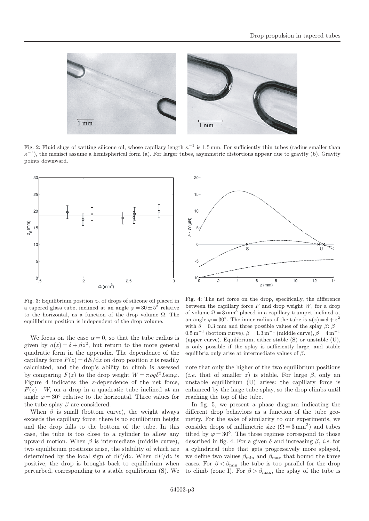

Fig. 2: Fluid slugs of wetting silicone oil, whose capillary length  $\kappa^{-1}$  is 1.5 mm. For sufficiently thin tubes (radius smaller than  $\kappa^{-1}$ ), the menisci assume a hemispherical form (a). For larger tubes, asymmetric distortions appear due to gravity (b). Gravity points downward.



Fig. 3: Equilibrium position  $z<sub>o</sub>$  of drops of silicone oil placed in a tapered glass tube, inclined at an angle  $\varphi = 30 \pm 5^{\circ}$  relative to the horizontal, as a function of the drop volume Ω. The equilibrium position is independent of the drop volume.

We focus on the case  $\alpha = 0$ , so that the tube radius is given by  $a(z) = \delta + \beta z^2$ , but return to the more general quadratic form in the appendix. The dependence of the capillary force  $F(z) = dE/dz$  on drop position z is readily calculated, and the drop's ability to climb is assessed by comparing  $F(z)$  to the drop weight  $W = \pi \rho q \delta^2 L \sin \varphi$ . Figure 4 indicates the z-dependence of the net force,  $F(z) - W$ , on a drop in a quadratic tube inclined at an angle  $\varphi = 30^{\circ}$  relative to the horizontal. Three values for the tube splay  $\beta$  are considered.

When  $\beta$  is small (bottom curve), the weight always exceeds the capillary force: there is no equilibrium height and the drop falls to the bottom of the tube. In this case, the tube is too close to a cylinder to allow any upward motion. When  $\beta$  is intermediate (middle curve), two equilibrium positions arise, the stability of which are determined by the local sign of  $dF/dz$ . When  $dF/dz$  is positive, the drop is brought back to equilibrium when perturbed, corresponding to a stable equilibrium (S). We



Fig. 4: The net force on the drop, specifically, the difference between the capillary force  $F$  and drop weight  $W$ , for a drop of volume  $\Omega = 3 \text{ mm}^3$  placed in a capillary trumpet inclined at an angle  $\varphi = 30^{\circ}$ . The inner radius of the tube is  $a(z) = \delta + z^2$ with  $\delta = 0.3$  mm and three possible values of the splay  $\beta$ :  $\beta =$  $0.5\,\mathrm{m}^{-1}$  (bottom curve),  $\beta = 1.3\,\mathrm{m}^{-1}$  (middle curve),  $\beta = 4\,\mathrm{m}^{-1}$ (upper curve). Equilibrium, either stable (S) or unstable (U), is only possible if the splay is sufficiently large, and stable equilibria only arise at intermediate values of  $\beta$ .

note that only the higher of the two equilibrium positions (*i.e.* that of smaller z) is stable. For large  $\beta$ , only an unstable equilibrium (U) arises: the capillary force is enhanced by the large tube splay, so the drop climbs until reaching the top of the tube.

In fig. 5, we present a phase diagram indicating the different drop behaviors as a function of the tube geometry. For the sake of similarity to our experiments, we consider drops of millimetric size  $(\Omega = 3 \text{ mm}^3)$  and tubes tilted by  $\varphi = 30^{\circ}$ . The three regimes correspond to those described in fig. 4. For a given  $\delta$  and increasing  $\beta$ , *i.e.* for a cylindrical tube that gets progressively more splayed, we define two values  $\beta_{\text{min}}$  and  $\beta_{\text{max}}$  that bound the three cases. For  $\beta < \beta_{\text{min}}$  the tube is too parallel for the drop to climb (zone I). For  $\beta > \beta_{\text{max}}$ , the splay of the tube is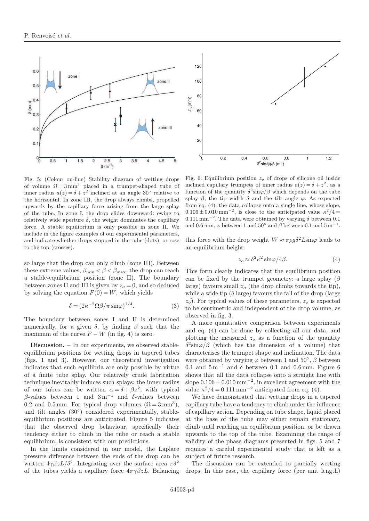

Fig. 5: (Colour on-line) Stability diagram of wetting drops of volume  $\Omega = 3 \text{ mm}^3$  placed in a trumpet-shaped tube of inner radius  $a(z) = \delta + z^2$  inclined at an angle  $30^{\circ}$  relative to the horizontal. In zone III, the drop always climbs, propelled upwards by the capillary force arising from the large splay of the tube. In zone I, the drop slides downward: owing to relatively wide aperture  $\delta$ , the weight dominates the capillary force. A stable equilibrium is only possible in zone II. We include in the figure examples of our experimental parameters, and indicate whether drops stopped in the tube (dots), or rose to the top (crosses).

so large that the drop can only climb (zone III). Between these extreme values,  $\beta_{\min} < \beta < \beta_{\max}$ , the drop can reach a stable-equilibrium position (zone II). The boundary between zones II and III is given by  $z_o = 0$ , and so deduced by solving the equation  $F(0) = W$ , which yields

$$
\delta = (2\kappa^{-2} \Omega \beta / \pi \sin \varphi)^{1/4}.
$$
 (3)

The boundary between zones I and II is determined numerically, for a given  $\delta$ , by finding  $\beta$  such that the maximum of the curve  $F - W$  (in fig. 4) is zero.

Discussion. – In our experiments, we observed stableequilibrium positions for wetting drops in tapered tubes (figs. 1 and 3). However, our theoretical investigation indicates that such equilibria are only possible by virtue of a finite tube splay. Our relatively crude fabrication technique inevitably induces such splays: the inner radius of our tubes can be written  $\alpha = \delta + \beta z^2$ , with typical β-values between 1 and  $3 \text{ m}^{-1}$  and δ-values between 0.2 and 0.5 mm. For typical drop volumes  $(\Omega = 3 \text{ mm}^3)$ , and tilt angles (30°) considered experimentally, stableequilibrium positions are anticipated. Figure 5 indicates that the observed drop behaviour, specifically their tendency either to climb in the tube or reach a stable equilibrium, is consistent with our predictions.

In the limits considered in our model, the Laplace pressure difference between the ends of the drop can be written  $4\gamma\beta zL/\delta^2$ . Integrating over the surface area  $\pi\delta^2$ of the tubes yields a capillary force  $4\pi\gamma\beta zL$ . Balancing



Fig. 6: Equilibrium position  $z<sub>o</sub>$  of drops of silicone oil inside inclined capillary trumpets of inner radius  $a(z) = \delta + z^2$ , as a function of the quantity  $\delta^2 \sin \varphi / \beta$  which depends on the tube splay  $\beta$ , the tip width  $\delta$  and the tilt angle  $\varphi$ . As expected from eq. (4), the data collapse onto a single line, whose slope,  $0.106 \pm 0.010$  mm<sup>-2</sup>, is close to the anticipated value  $\kappa^2/4 =$  $0.111 \text{ mm}^{-2}$ . The data were obtained by varying  $\delta$  between 0.1 and 0.6 mm,  $\varphi$  between 1 and 50° and  $\beta$  between 0.1 and 5 m<sup>-1</sup>.

this force with the drop weight  $W \approx \pi \rho g \delta^2 L \text{sin}\varphi$  leads to an equilibrium height:

$$
z_o \approx \delta^2 \kappa^2 \sin\varphi / 4\beta. \tag{4}
$$

This form clearly indicates that the equilibrium position can be fixed by the trumpet geometry: a large splay  $(\beta$ large) favours small  $z<sub>o</sub>$  (the drop climbs towards the tip), while a wide tip  $(\delta \text{ large})$  favours the fall of the drop (large  $z<sub>o</sub>$ ). For typical values of these parameters,  $z<sub>o</sub>$  is expected to be centimetric and independent of the drop volume, as observed in fig. 3.

A more quantitative comparison between experiments and eq. (4) can be done by collecting all our data, and plotting the measured  $z<sub>o</sub>$  as a function of the quantity  $\delta^2 \sin \varphi / \beta$  (which has the dimension of a volume) that characterises the trumpet shape and inclination. The data were obtained by varying  $\varphi$  between 1 and 50°,  $\beta$  between 0.1 and  $5 \text{ m}^{-1}$  and  $\delta$  between 0.1 and 0.6 mm. Figure 6 shows that all the data collapse onto a straight line with slope  $0.106 \pm 0.010$  mm<sup>-2</sup>, in excellent agreement with the value  $\kappa^2/4 = 0.111 \,\mathrm{mm}^{-2}$  anticipated from eq. (4).

We have demonstrated that wetting drops in a tapered capillary tube have a tendency to climb under the influence of capillary action. Depending on tube shape, liquid placed at the base of the tube may either remain stationary, climb until reaching an equilibrium position, or be drawn upwards to the top of the tube. Examining the range of validity of the phase diagrams presented in figs. 5 and 7 requires a careful experimental study that is left as a subject of future research.

The discussion can be extended to partially wetting drops. In this case, the capillary force (per unit length)